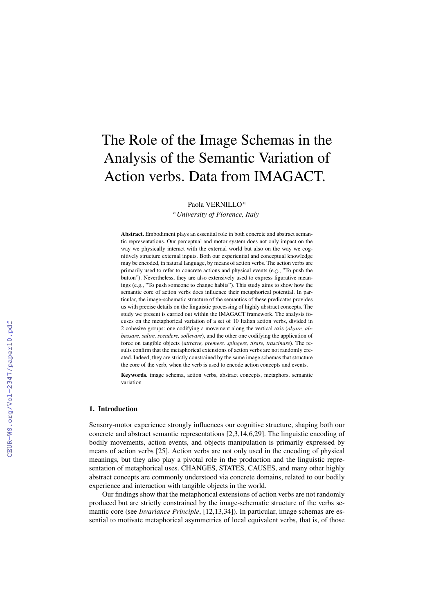# The Role of the Image Schemas in the Analysis of the Semantic Variation of Action verbs. Data from IMAGACT.

Paola VERNILLO<sup>a</sup>

<sup>a</sup>*University of Florence, Italy*

Abstract. Embodiment plays an essential role in both concrete and abstract semantic representations. Our perceptual and motor system does not only impact on the way we physically interact with the external world but also on the way we cognitively structure external inputs. Both our experiential and conceptual knowledge may be encoded, in natural language, by means of action verbs. The action verbs are primarily used to refer to concrete actions and physical events (e.g., "To push the button"). Nevertheless, they are also extensively used to express figurative meanings (e.g., "To push someone to change habits"). This study aims to show how the semantic core of action verbs does influence their metaphorical potential. In particular, the image-schematic structure of the semantics of these predicates provides us with precise details on the linguistic processing of highly abstract concepts. The study we present is carried out within the IMAGACT framework. The analysis focuses on the metaphorical variation of a set of 10 Italian action verbs, divided in 2 cohesive groups: one codifying a movement along the vertical axis (*alzare, abbassare, salire, scendere, sollevare*), and the other one codifying the application of force on tangible objects (*attrarre, premere, spingere, tirare, trascinare*). The results confirm that the metaphorical extensions of action verbs are not randomly created. Indeed, they are strictly constrained by the same image schemas that structure the core of the verb, when the verb is used to encode action concepts and events.

Keywords. image schema, action verbs, abstract concepts, metaphors, semantic variation

## 1. Introduction

Sensory-motor experience strongly influences our cognitive structure, shaping both our concrete and abstract semantic representations [2,3,14,6,29]. The linguistic encoding of bodily movements, action events, and objects manipulation is primarily expressed by means of action verbs [25]. Action verbs are not only used in the encoding of physical meanings, but they also play a pivotal role in the production and the linguistic representation of metaphorical uses. CHANGES, STATES, CAUSES, and many other highly abstract concepts are commonly understood via concrete domains, related to our bodily experience and interaction with tangible objects in the world.

Our findings show that the metaphorical extensions of action verbs are not randomly produced but are strictly constrained by the image-schematic structure of the verbs semantic core (see *Invariance Principle*, [12,13,34]). In particular, image schemas are essential to motivate metaphorical asymmetries of local equivalent verbs, that is, of those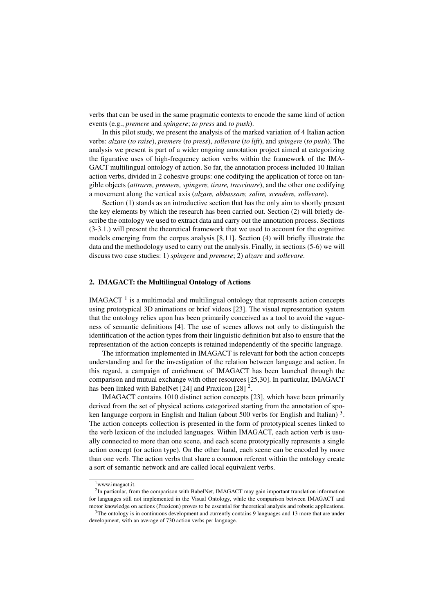verbs that can be used in the same pragmatic contexts to encode the same kind of action events (e.g., *premere* and *spingere*; *to press* and *to push*).

In this pilot study, we present the analysis of the marked variation of 4 Italian action verbs: *alzare* (*to raise*), *premere* (*to press*), *sollevare* (*to lift*), and *spingere* (*to push*). The analysis we present is part of a wider ongoing annotation project aimed at categorizing the figurative uses of high-frequency action verbs within the framework of the IMA-GACT multilingual ontology of action. So far, the annotation process included 10 Italian action verbs, divided in 2 cohesive groups: one codifying the application of force on tangible objects (*attrarre, premere, spingere, tirare, trascinare*), and the other one codifying a movement along the vertical axis (*alzare, abbassare, salire, scendere, sollevare*).

Section (1) stands as an introductive section that has the only aim to shortly present the key elements by which the research has been carried out. Section (2) will briefly describe the ontology we used to extract data and carry out the annotation process. Sections (3-3.1.) will present the theoretical framework that we used to account for the cognitive models emerging from the corpus analysis [8,11]. Section (4) will briefly illustrate the data and the methodology used to carry out the analysis. Finally, in sections (5-6) we will discuss two case studies: 1) *spingere* and *premere*; 2) *alzare* and *sollevare*.

## 2. IMAGACT: the Multilingual Ontology of Actions

 $IMAGACT<sup>1</sup>$  is a multimodal and multilingual ontology that represents action concepts using prototypical 3D animations or brief videos [23]. The visual representation system that the ontology relies upon has been primarily conceived as a tool to avoid the vagueness of semantic definitions [4]. The use of scenes allows not only to distinguish the identification of the action types from their linguistic definition but also to ensure that the representation of the action concepts is retained independently of the specific language.

The information implemented in IMAGACT is relevant for both the action concepts understanding and for the investigation of the relation between language and action. In this regard, a campaign of enrichment of IMAGACT has been launched through the comparison and mutual exchange with other resources [25,30]. In particular, IMAGACT has been linked with BabelNet [24] and Praxicon [28]  $^2$ .

IMAGACT contains 1010 distinct action concepts [23], which have been primarily derived from the set of physical actions categorized starting from the annotation of spoken language corpora in English and Italian (about 500 verbs for English and Italian)<sup>3</sup>. The action concepts collection is presented in the form of prototypical scenes linked to the verb lexicon of the included languages. Within IMAGACT, each action verb is usually connected to more than one scene, and each scene prototypically represents a single action concept (or action type). On the other hand, each scene can be encoded by more than one verb. The action verbs that share a common referent within the ontology create a sort of semantic network and are called local equivalent verbs.

 $1$ www.imagact.it.

<sup>&</sup>lt;sup>2</sup>In particular, from the comparison with BabelNet, IMAGACT may gain important translation information for languages still not implemented in the Visual Ontology, while the comparison between IMAGACT and motor knowledge on actions (Praxicon) proves to be essential for theoretical analysis and robotic applications.

<sup>&</sup>lt;sup>3</sup>The ontology is in continuous development and currently contains 9 languages and 13 more that are under development, with an average of 730 action verbs per language.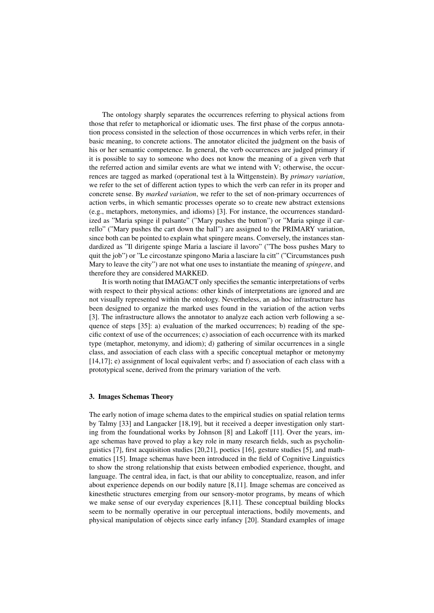The ontology sharply separates the occurrences referring to physical actions from those that refer to metaphorical or idiomatic uses. The first phase of the corpus annotation process consisted in the selection of those occurrences in which verbs refer, in their basic meaning, to concrete actions. The annotator elicited the judgment on the basis of his or her semantic competence. In general, the verb occurrences are judged primary if it is possible to say to someone who does not know the meaning of a given verb that the referred action and similar events are what we intend with V; otherwise, the occurrences are tagged as marked (operational test a la Wittgenstein). By ` *primary variation*, we refer to the set of different action types to which the verb can refer in its proper and concrete sense. By *marked variation*, we refer to the set of non-primary occurrences of action verbs, in which semantic processes operate so to create new abstract extensions (e.g., metaphors, metonymies, and idioms) [3]. For instance, the occurrences standardized as "Maria spinge il pulsante" ("Mary pushes the button") or "Maria spinge il carrello" ("Mary pushes the cart down the hall") are assigned to the PRIMARY variation, since both can be pointed to explain what spingere means. Conversely, the instances standardized as "Il dirigente spinge Maria a lasciare il lavoro" ("The boss pushes Mary to quit the job") or "Le circostanze spingono Maria a lasciare la citt" ("Circumstances push Mary to leave the city") are not what one uses to instantiate the meaning of *spingere*, and therefore they are considered MARKED.

It is worth noting that IMAGACT only specifies the semantic interpretations of verbs with respect to their physical actions: other kinds of interpretations are ignored and are not visually represented within the ontology. Nevertheless, an ad-hoc infrastructure has been designed to organize the marked uses found in the variation of the action verbs [3]. The infrastructure allows the annotator to analyze each action verb following a sequence of steps [35]: a) evaluation of the marked occurrences; b) reading of the specific context of use of the occurrences; c) association of each occurrence with its marked type (metaphor, metonymy, and idiom); d) gathering of similar occurrences in a single class, and association of each class with a specific conceptual metaphor or metonymy [14,17]; e) assignment of local equivalent verbs; and f) association of each class with a prototypical scene, derived from the primary variation of the verb.

#### 3. Images Schemas Theory

The early notion of image schema dates to the empirical studies on spatial relation terms by Talmy [33] and Langacker [18,19], but it received a deeper investigation only starting from the foundational works by Johnson [8] and Lakoff [11]. Over the years, image schemas have proved to play a key role in many research fields, such as psycholinguistics [7], first acquisition studies [20,21], poetics [16], gesture studies [5], and mathematics [15]. Image schemas have been introduced in the field of Cognitive Linguistics to show the strong relationship that exists between embodied experience, thought, and language. The central idea, in fact, is that our ability to conceptualize, reason, and infer about experience depends on our bodily nature [8,11]. Image schemas are conceived as kinesthetic structures emerging from our sensory-motor programs, by means of which we make sense of our everyday experiences [8,11]. These conceptual building blocks seem to be normally operative in our perceptual interactions, bodily movements, and physical manipulation of objects since early infancy [20]. Standard examples of image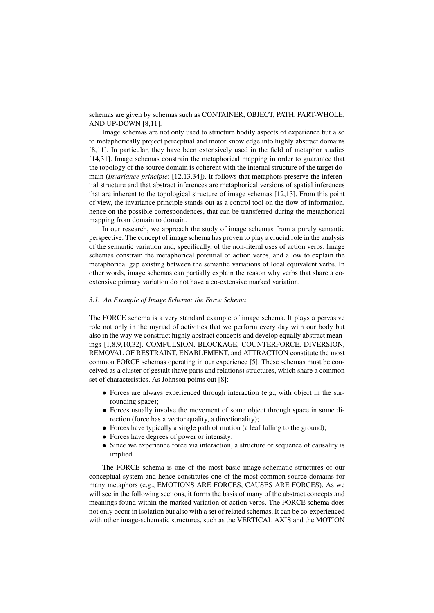schemas are given by schemas such as CONTAINER, OBJECT, PATH, PART-WHOLE, AND UP-DOWN [8,11].

Image schemas are not only used to structure bodily aspects of experience but also to metaphorically project perceptual and motor knowledge into highly abstract domains [8,11]. In particular, they have been extensively used in the field of metaphor studies [14,31]. Image schemas constrain the metaphorical mapping in order to guarantee that the topology of the source domain is coherent with the internal structure of the target domain (*Invariance principle*: [12,13,34]). It follows that metaphors preserve the inferential structure and that abstract inferences are metaphorical versions of spatial inferences that are inherent to the topological structure of image schemas [12,13]. From this point of view, the invariance principle stands out as a control tool on the flow of information, hence on the possible correspondences, that can be transferred during the metaphorical mapping from domain to domain.

In our research, we approach the study of image schemas from a purely semantic perspective. The concept of image schema has proven to play a crucial role in the analysis of the semantic variation and, specifically, of the non-literal uses of action verbs. Image schemas constrain the metaphorical potential of action verbs, and allow to explain the metaphorical gap existing between the semantic variations of local equivalent verbs. In other words, image schemas can partially explain the reason why verbs that share a coextensive primary variation do not have a co-extensive marked variation.

#### *3.1. An Example of Image Schema: the Force Schema*

The FORCE schema is a very standard example of image schema. It plays a pervasive role not only in the myriad of activities that we perform every day with our body but also in the way we construct highly abstract concepts and develop equally abstract meanings [1,8,9,10,32]. COMPULSION, BLOCKAGE, COUNTERFORCE, DIVERSION, REMOVAL OF RESTRAINT, ENABLEMENT, and ATTRACTION constitute the most common FORCE schemas operating in our experience [5]. These schemas must be conceived as a cluster of gestalt (have parts and relations) structures, which share a common set of characteristics. As Johnson points out [8]:

- Forces are always experienced through interaction (e.g., with object in the surrounding space);
- Forces usually involve the movement of some object through space in some direction (force has a vector quality, a directionality);
- Forces have typically a single path of motion (a leaf falling to the ground);
- Forces have degrees of power or intensity;
- Since we experience force via interaction, a structure or sequence of causality is implied.

The FORCE schema is one of the most basic image-schematic structures of our conceptual system and hence constitutes one of the most common source domains for many metaphors (e.g., EMOTIONS ARE FORCES, CAUSES ARE FORCES). As we will see in the following sections, it forms the basis of many of the abstract concepts and meanings found within the marked variation of action verbs. The FORCE schema does not only occur in isolation but also with a set of related schemas. It can be co-experienced with other image-schematic structures, such as the VERTICAL AXIS and the MOTION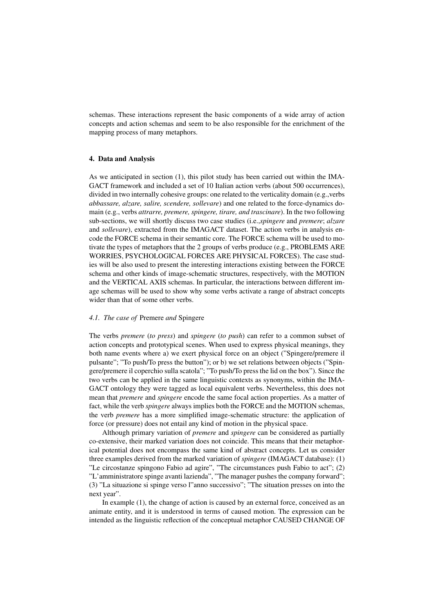schemas. These interactions represent the basic components of a wide array of action concepts and action schemas and seem to be also responsible for the enrichment of the mapping process of many metaphors.

#### 4. Data and Analysis

As we anticipated in section (1), this pilot study has been carried out within the IMA-GACT framework and included a set of 10 Italian action verbs (about 500 occurrences), divided in two internally cohesive groups: one related to the verticality domain (e.g.,verbs *abbassare, alzare, salire, scendere, sollevare*) and one related to the force-dynamics domain (e.g., verbs *attrarre, premere, spingere, tirare, and trascinare*). In the two following sub-sections, we will shortly discuss two case studies (i.e.,*spingere* and *premere*; *alzare* and *sollevare*), extracted from the IMAGACT dataset. The action verbs in analysis encode the FORCE schema in their semantic core. The FORCE schema will be used to motivate the types of metaphors that the 2 groups of verbs produce (e.g., PROBLEMS ARE WORRIES, PSYCHOLOGICAL FORCES ARE PHYSICAL FORCES). The case studies will be also used to present the interesting interactions existing between the FORCE schema and other kinds of image-schematic structures, respectively, with the MOTION and the VERTICAL AXIS schemas. In particular, the interactions between different image schemas will be used to show why some verbs activate a range of abstract concepts wider than that of some other verbs.

#### *4.1. The case of* Premere *and* Spingere

The verbs *premere* (*to press*) and *spingere* (*to push*) can refer to a common subset of action concepts and prototypical scenes. When used to express physical meanings, they both name events where a) we exert physical force on an object ("Spingere/premere il pulsante"; "To push/To press the button"); or b) we set relations between objects ("Spingere/premere il coperchio sulla scatola"; "To push/To press the lid on the box"). Since the two verbs can be applied in the same linguistic contexts as synonyms, within the IMA-GACT ontology they were tagged as local equivalent verbs. Nevertheless, this does not mean that *premere* and *spingere* encode the same focal action properties. As a matter of fact, while the verb *spingere* always implies both the FORCE and the MOTION schemas, the verb *premere* has a more simplified image-schematic structure: the application of force (or pressure) does not entail any kind of motion in the physical space.

Although primary variation of *premere* and *spingere* can be considered as partially co-extensive, their marked variation does not coincide. This means that their metaphorical potential does not encompass the same kind of abstract concepts. Let us consider three examples derived from the marked variation of *spingere* (IMAGACT database): (1) "Le circostanze spingono Fabio ad agire", "The circumstances push Fabio to act"; (2) "L'amministratore spinge avanti lazienda", "The manager pushes the company forward"; (3) "La situazione si spinge verso l"anno successivo"; "The situation presses on into the next year".

In example (1), the change of action is caused by an external force, conceived as an animate entity, and it is understood in terms of caused motion. The expression can be intended as the linguistic reflection of the conceptual metaphor CAUSED CHANGE OF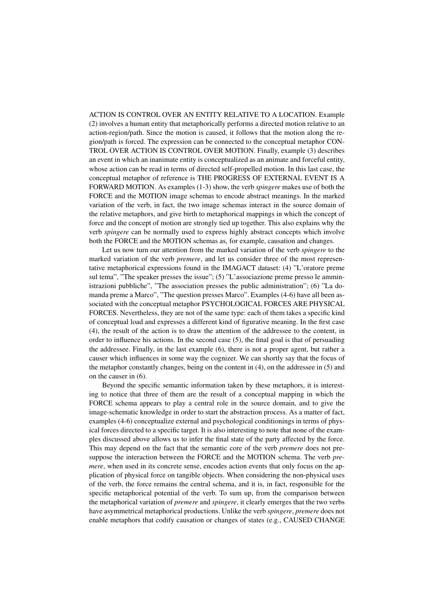ACTION IS CONTROL OVER AN ENTITY RELATIVE TO A LOCATION. Example (2) involves a human entity that metaphorically performs a directed motion relative to an action-region/path. Since the motion is caused, it follows that the motion along the region/path is forced. The expression can be connected to the conceptual metaphor CON-TROL OVER ACTION IS CONTROL OVER MOTION. Finally, example (3) describes an event in which an inanimate entity is conceptualized as an animate and forceful entity, whose action can be read in terms of directed self-propelled motion. In this last case, the conceptual metaphor of reference is THE PROGRESS OF EXTERNAL EVENT IS A FORWARD MOTION. As examples (1-3) show, the verb *spingere* makes use of both the FORCE and the MOTION image schemas to encode abstract meanings. In the marked variation of the verb, in fact, the two image schemas interact in the source domain of the relative metaphors, and give birth to metaphorical mappings in which the concept of force and the concept of motion are strongly tied up together. This also explains why the verb *spingere* can be normally used to express highly abstract concepts which involve both the FORCE and the MOTION schemas as, for example, causation and changes.

Let us now turn our attention from the marked variation of the verb *spingere* to the marked variation of the verb *premere*, and let us consider three of the most representative metaphorical expressions found in the IMAGACT dataset: (4) "L'oratore preme sul tema", "The speaker presses the issue";  $(5)$  "L'associazione preme presso le amministrazioni pubbliche", "The association presses the public administration"; (6) "La domanda preme a Marco", "The question presses Marco". Examples (4-6) have all been associated with the conceptual metaphor PSYCHOLOGICAL FORCES ARE PHYSICAL FORCES. Nevertheless, they are not of the same type: each of them takes a specific kind of conceptual load and expresses a different kind of figurative meaning. In the first case (4), the result of the action is to draw the attention of the addressee to the content, in order to influence his actions. In the second case (5), the final goal is that of persuading the addressee. Finally, in the last example (6), there is not a proper agent, but rather a causer which influences in some way the cognizer. We can shortly say that the focus of the metaphor constantly changes, being on the content in (4), on the addressee in (5) and on the causer in (6).

Beyond the specific semantic information taken by these metaphors, it is interesting to notice that three of them are the result of a conceptual mapping in which the FORCE schema appears to play a central role in the source domain, and to give the image-schematic knowledge in order to start the abstraction process. As a matter of fact, examples (4-6) conceptualize external and psychological conditionings in terms of physical forces directed to a specific target. It is also interesting to note that none of the examples discussed above allows us to infer the final state of the party affected by the force. This may depend on the fact that the semantic core of the verb *premere* does not presuppose the interaction between the FORCE and the MOTION schema. The verb *premere*, when used in its concrete sense, encodes action events that only focus on the application of physical force on tangible objects. When considering the non-physical uses of the verb, the force remains the central schema, and it is, in fact, responsible for the specific metaphorical potential of the verb. To sum up, from the comparison between the metaphorical variation of *premere* and *spingere*, it clearly emerges that the two verbs have asymmetrical metaphorical productions. Unlike the verb *spingere*, *premere* does not enable metaphors that codify causation or changes of states (e.g., CAUSED CHANGE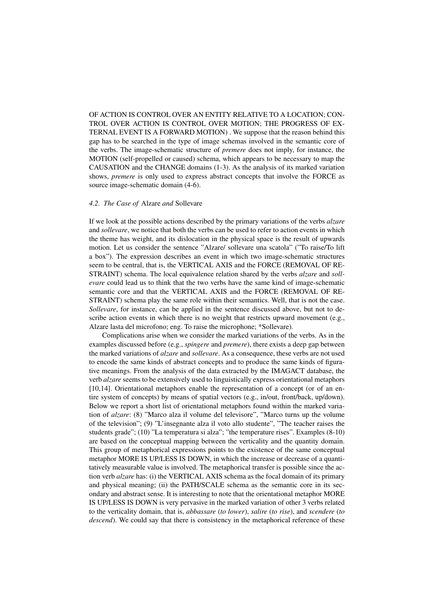OF ACTION IS CONTROL OVER AN ENTITY RELATIVE TO A LOCATION; CON-TROL OVER ACTION IS CONTROL OVER MOTION; THE PROGRESS OF EX-TERNAL EVENT IS A FORWARD MOTION) . We suppose that the reason behind this gap has to be searched in the type of image schemas involved in the semantic core of the verbs. The image-schematic structure of *premere* does not imply, for instance, the MOTION (self-propelled or caused) schema, which appears to be necessary to map the CAUSATION and the CHANGE domains (1-3). As the analysis of its marked variation shows, *premere* is only used to express abstract concepts that involve the FORCE as source image-schematic domain (4-6).

## *4.2. The Case of* Alzare *and* Sollevare

If we look at the possible actions described by the primary variations of the verbs *alzare* and *sollevare*, we notice that both the verbs can be used to refer to action events in which the theme has weight, and its dislocation in the physical space is the result of upwards motion. Let us consider the sentence "Alzare/ sollevare una scatola" ("To raise/To lift a box"). The expression describes an event in which two image-schematic structures seem to be central, that is, the VERTICAL AXIS and the FORCE (REMOVAL OF RE-STRAINT) schema. The local equivalence relation shared by the verbs *alzare* and *sollevare* could lead us to think that the two verbs have the same kind of image-schematic semantic core and that the VERTICAL AXIS and the FORCE (REMOVAL OF RE-STRAINT) schema play the same role within their semantics. Well, that is not the case. *Sollevare*, for instance, can be applied in the sentence discussed above, but not to describe action events in which there is no weight that restricts upward movement (e.g., Alzare lasta del microfono; eng. To raise the microphone; \*Sollevare).

Complications arise when we consider the marked variations of the verbs. As in the examples discussed before (e.g., *spingere* and *premere*), there exists a deep gap between the marked variations of *alzare* and *sollevare*. As a consequence, these verbs are not used to encode the same kinds of abstract concepts and to produce the same kinds of figurative meanings. From the analysis of the data extracted by the IMAGACT database, the verb *alzare* seems to be extensively used to linguistically express orientational metaphors [10,14]. Orientational metaphors enable the representation of a concept (or of an entire system of concepts) by means of spatial vectors (e.g., in/out, front/back, up/down). Below we report a short list of orientational metaphors found within the marked variation of *alzare*: (8) "Marco alza il volume del televisore", "Marco turns up the volume of the television"; (9) "L'insegnante alza il voto allo studente", "The teacher raises the students grade"; (10) "La temperatura si alza"; "the temperature rises". Examples (8-10) are based on the conceptual mapping between the verticality and the quantity domain. This group of metaphorical expressions points to the existence of the same conceptual metaphor MORE IS UP/LESS IS DOWN, in which the increase or decrease of a quantitatively measurable value is involved. The metaphorical transfer is possible since the action verb *alzare* has: (i) the VERTICAL AXIS schema as the focal domain of its primary and physical meaning; (ii) the PATH/SCALE schema as the semantic core in its secondary and abstract sense. It is interesting to note that the orientational metaphor MORE IS UP/LESS IS DOWN is very pervasive in the marked variation of other 3 verbs related to the verticality domain, that is, *abbassare* (*to lower*), *salire* (*to rise*), and *scendere* (*to descend*). We could say that there is consistency in the metaphorical reference of these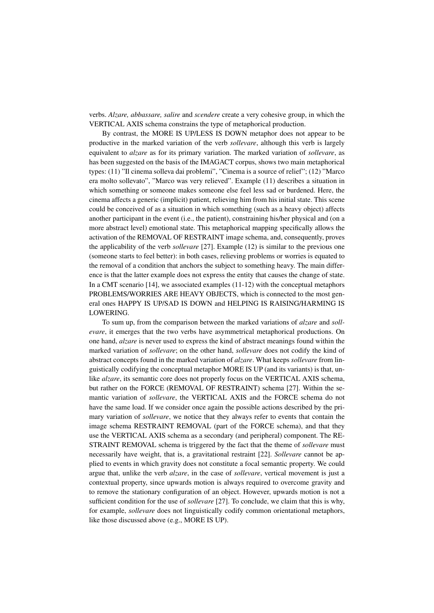verbs. *Alzare, abbassare, salire* and *scendere* create a very cohesive group, in which the VERTICAL AXIS schema constrains the type of metaphorical production.

By contrast, the MORE IS UP/LESS IS DOWN metaphor does not appear to be productive in the marked variation of the verb *sollevare*, although this verb is largely equivalent to *alzare* as for its primary variation. The marked variation of *sollevare*, as has been suggested on the basis of the IMAGACT corpus, shows two main metaphorical types: (11) "Il cinema solleva dai problemi", "Cinema is a source of relief"; (12) "Marco era molto sollevato", "Marco was very relieved". Example (11) describes a situation in which something or someone makes someone else feel less sad or burdened. Here, the cinema affects a generic (implicit) patient, relieving him from his initial state. This scene could be conceived of as a situation in which something (such as a heavy object) affects another participant in the event (i.e., the patient), constraining his/her physical and (on a more abstract level) emotional state. This metaphorical mapping specifically allows the activation of the REMOVAL OF RESTRAINT image schema, and, consequently, proves the applicability of the verb *sollevare* [27]. Example (12) is similar to the previous one (someone starts to feel better): in both cases, relieving problems or worries is equated to the removal of a condition that anchors the subject to something heavy. The main difference is that the latter example does not express the entity that causes the change of state. In a CMT scenario [14], we associated examples (11-12) with the conceptual metaphors PROBLEMS/WORRIES ARE HEAVY OBJECTS, which is connected to the most general ones HAPPY IS UP/SAD IS DOWN and HELPING IS RAISING/HARMING IS LOWERING.

To sum up, from the comparison between the marked variations of *alzare* and *sollevare*, it emerges that the two verbs have asymmetrical metaphorical productions. On one hand, *alzare* is never used to express the kind of abstract meanings found within the marked variation of *sollevare*; on the other hand, *sollevare* does not codify the kind of abstract concepts found in the marked variation of *alzare*. What keeps *sollevare* from linguistically codifying the conceptual metaphor MORE IS UP (and its variants) is that, unlike *alzare*, its semantic core does not properly focus on the VERTICAL AXIS schema, but rather on the FORCE (REMOVAL OF RESTRAINT) schema [27]. Within the semantic variation of *sollevare*, the VERTICAL AXIS and the FORCE schema do not have the same load. If we consider once again the possible actions described by the primary variation of *sollevare*, we notice that they always refer to events that contain the image schema RESTRAINT REMOVAL (part of the FORCE schema), and that they use the VERTICAL AXIS schema as a secondary (and peripheral) component. The RE-STRAINT REMOVAL schema is triggered by the fact that the theme of *sollevare* must necessarily have weight, that is, a gravitational restraint [22]. *Sollevare* cannot be applied to events in which gravity does not constitute a focal semantic property. We could argue that, unlike the verb *alzare*, in the case of *sollevare*, vertical movement is just a contextual property, since upwards motion is always required to overcome gravity and to remove the stationary configuration of an object. However, upwards motion is not a sufficient condition for the use of *sollevare* [27]. To conclude, we claim that this is why, for example, *sollevare* does not linguistically codify common orientational metaphors, like those discussed above (e.g., MORE IS UP).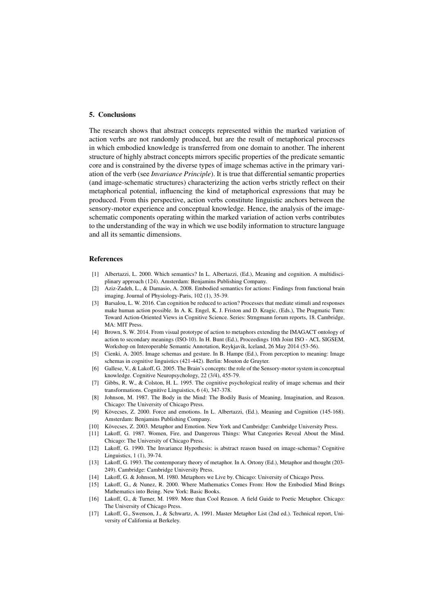### 5. Conclusions

The research shows that abstract concepts represented within the marked variation of action verbs are not randomly produced, but are the result of metaphorical processes in which embodied knowledge is transferred from one domain to another. The inherent structure of highly abstract concepts mirrors specific properties of the predicate semantic core and is constrained by the diverse types of image schemas active in the primary variation of the verb (see *Invariance Principle*). It is true that differential semantic properties (and image-schematic structures) characterizing the action verbs strictly reflect on their metaphorical potential, influencing the kind of metaphorical expressions that may be produced. From this perspective, action verbs constitute linguistic anchors between the sensory-motor experience and conceptual knowledge. Hence, the analysis of the imageschematic components operating within the marked variation of action verbs contributes to the understanding of the way in which we use bodily information to structure language and all its semantic dimensions.

#### References

- [1] Albertazzi, L. 2000. Which semantics? In L. Albertazzi, (Ed.), Meaning and cognition. A multidisciplinary approach (124). Amsterdam: Benjamins Publishing Company.
- [2] Aziz-Zadeh, L., & Damasio, A. 2008. Embodied semantics for actions: Findings from functional brain imaging. Journal of Physiology-Paris, 102 (1), 35-39.
- [3] Barsalou, L. W. 2016. Can cognition be reduced to action? Processes that mediate stimuli and responses make human action possible. In A. K. Engel, K. J. Friston and D. Kragic, (Eds.), The Pragmatic Turn: Toward Action-Oriented Views in Cognitive Science. Series: Strngmann forum reports, 18. Cambridge, MA: MIT Press.
- [4] Brown, S. W. 2014. From visual prototype of action to metaphors extending the IMAGACT ontology of action to secondary meanings (ISO-10). In H. Bunt (Ed.), Proceedings 10th Joint ISO - ACL SIGSEM, Workshop on Interoperable Semantic Annotation, Reykjavik, Iceland, 26 May 2014 (53-56).
- [5] Cienki, A. 2005. Image schemas and gesture. In B. Hampe (Ed.), From perception to meaning: Image schemas in cognitive linguistics (421-442). Berlin: Mouton de Gruyter.
- [6] Gallese, V., & Lakoff, G. 2005. The Brain's concepts: the role of the Sensory-motor system in conceptual knowledge. Cognitive Neuropsychology, 22 (3/4), 455-79.
- [7] Gibbs, R. W., & Colston, H. L. 1995. The cognitive psychological reality of image schemas and their transformations. Cognitive Linguistics, 6 (4), 347-378.
- [8] Johnson, M. 1987. The Body in the Mind: The Bodily Basis of Meaning, Imagination, and Reason. Chicago: The University of Chicago Press.
- [9] Kövecses, Z. 2000. Force and emotions. In L. Albertazzi, (Ed.), Meaning and Cognition (145-168). Amsterdam: Benjamins Publishing Company.
- [10] Kövecses, Z. 2003. Metaphor and Emotion. New York and Cambridge: Cambridge University Press.
- [11] Lakoff, G. 1987. Women, Fire, and Dangerous Things: What Categories Reveal About the Mind. Chicago: The University of Chicago Press.
- [12] Lakoff, G. 1990. The Invariance Hypothesis: is abstract reason based on image-schemas? Cognitive Linguistics, 1 (1), 39-74.
- [13] Lakoff, G. 1993. The contemporary theory of metaphor. In A. Ortony (Ed.), Metaphor and thought (203- 249). Cambridge: Cambridge University Press.
- [14] Lakoff, G. & Johnson, M. 1980. Metaphors we Live by. Chicago: University of Chicago Press.
- [15] Lakoff, G., & Nunez, R. 2000. Where Mathematics Comes From: How the Embodied Mind Brings Mathematics into Being. New York: Basic Books.
- [16] Lakoff, G., & Turner, M. 1989. More than Cool Reason. A field Guide to Poetic Metaphor. Chicago: The University of Chicago Press.
- [17] Lakoff, G., Swenson, J., & Schwartz, A. 1991. Master Metaphor List (2nd ed.). Technical report, University of California at Berkeley.